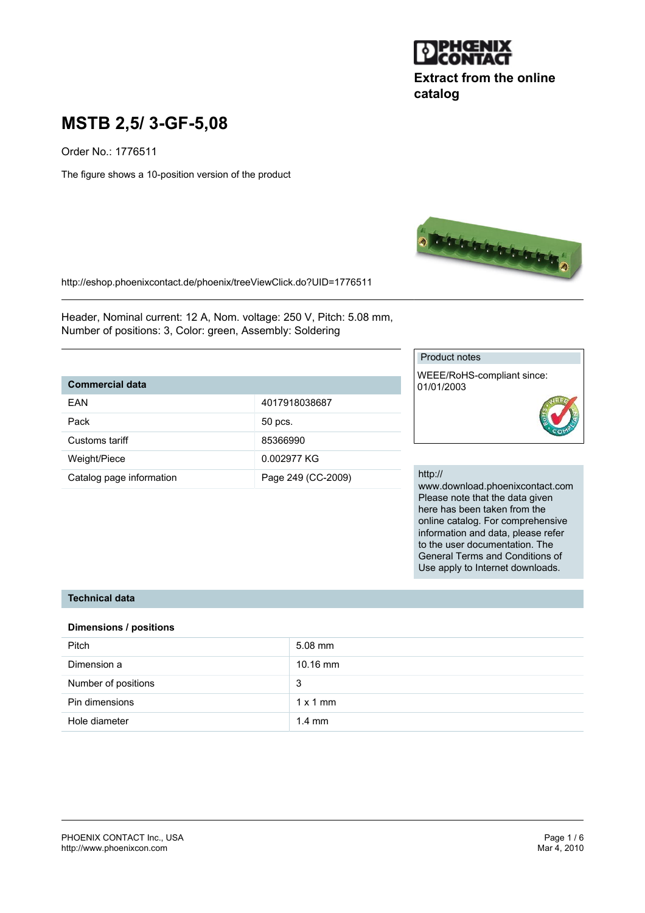

# **Extract from the online catalog**

# **MSTB 2,5/ 3-GF-5,08**

Order No.: 1776511

The figure shows a 10-position version of the product



http://eshop.phoenixcontact.de/phoenix/treeViewClick.do?UID=1776511

Header, Nominal current: 12 A, Nom. voltage: 250 V, Pitch: 5.08 mm, Number of positions: 3, Color: green, Assembly: Soldering

# **Commercial data**

| FAN                      | 4017918038687      |
|--------------------------|--------------------|
|                          |                    |
| Pack                     | 50 pcs.            |
|                          |                    |
| Customs tariff           | 85366990           |
|                          |                    |
| Weight/Piece             | 0.002977 KG        |
|                          |                    |
| Catalog page information | Page 249 (CC-2009) |
|                          |                    |

#### Product notes

WEEE/RoHS-compliant since: 01/01/2003

#### http://

www.download.phoenixcontact.com Please note that the data given here has been taken from the online catalog. For comprehensive information and data, please refer to the user documentation. The General Terms and Conditions of Use apply to Internet downloads.

### **Technical data**

#### **Dimensions / positions**

| Pitch               | $5.08$ mm        |
|---------------------|------------------|
| Dimension a         | $10.16$ mm       |
| Number of positions | 3                |
| Pin dimensions      | $1 \times 1$ mm  |
| Hole diameter       | $1.4 \text{ mm}$ |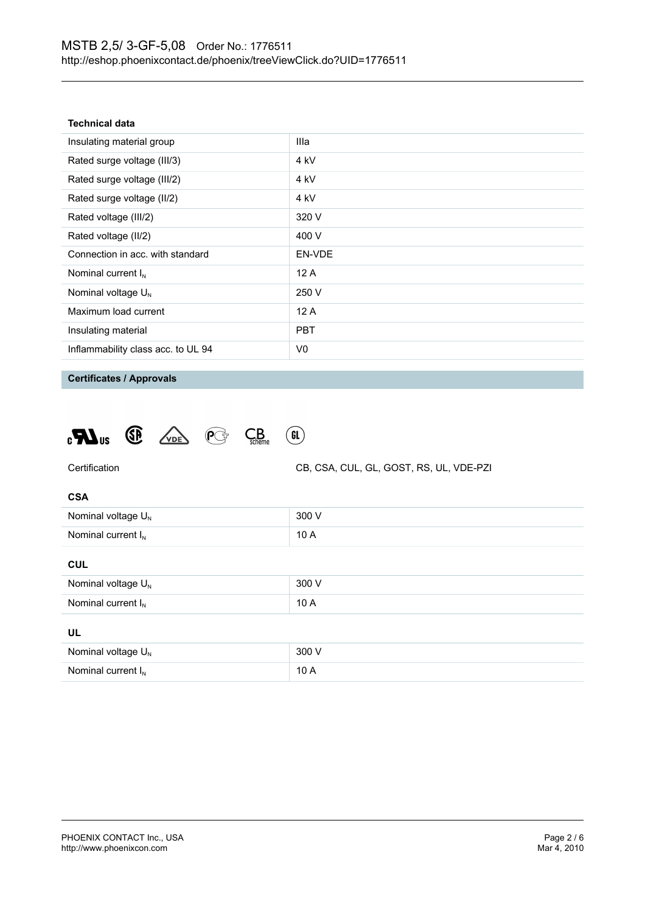| Technical data |  |  |  |
|----------------|--|--|--|
|----------------|--|--|--|

| Insulating material group          | Illa           |
|------------------------------------|----------------|
| Rated surge voltage (III/3)        | 4 kV           |
| Rated surge voltage (III/2)        | 4 kV           |
| Rated surge voltage (II/2)         | 4 kV           |
| Rated voltage (III/2)              | 320 V          |
| Rated voltage (II/2)               | 400 V          |
| Connection in acc. with standard   | EN-VDE         |
| Nominal current $I_N$              | 12A            |
| Nominal voltage $U_{N}$            | 250 V          |
| Maximum load current               | 12A            |
| Insulating material                | <b>PBT</b>     |
| Inflammability class acc. to UL 94 | V <sub>0</sub> |
|                                    |                |

**Certificates / Approvals**

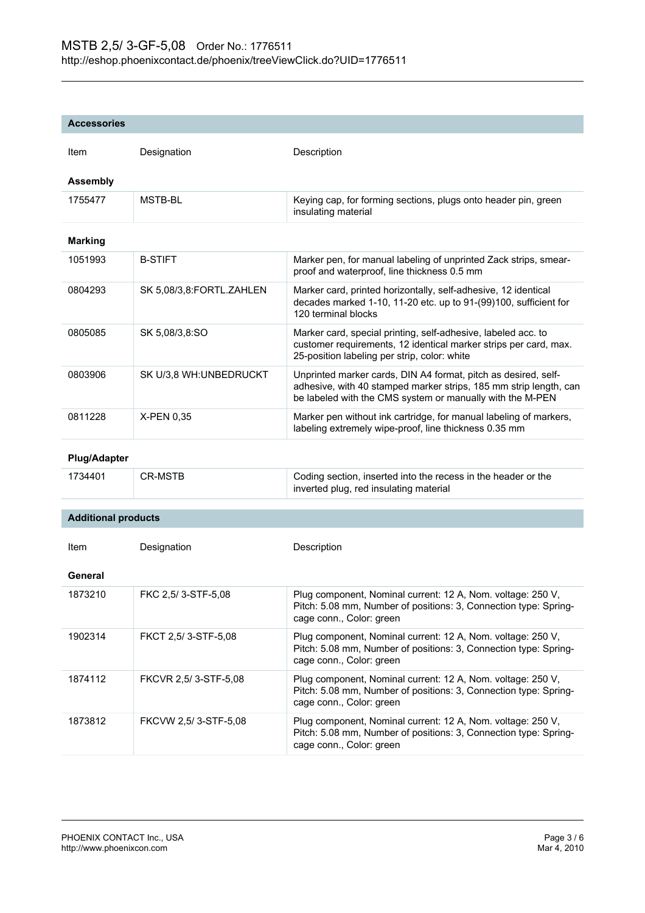| <b>Accessories</b>         |                          |                                                                                                                                                                                                  |
|----------------------------|--------------------------|--------------------------------------------------------------------------------------------------------------------------------------------------------------------------------------------------|
| Item                       | Designation              | Description                                                                                                                                                                                      |
| <b>Assembly</b>            |                          |                                                                                                                                                                                                  |
| 1755477                    | MSTB-BL                  | Keying cap, for forming sections, plugs onto header pin, green<br>insulating material                                                                                                            |
| <b>Marking</b>             |                          |                                                                                                                                                                                                  |
| 1051993                    | <b>B-STIFT</b>           | Marker pen, for manual labeling of unprinted Zack strips, smear-<br>proof and waterproof, line thickness 0.5 mm                                                                                  |
| 0804293                    | SK 5,08/3,8:FORTL.ZAHLEN | Marker card, printed horizontally, self-adhesive, 12 identical<br>decades marked 1-10, 11-20 etc. up to 91-(99)100, sufficient for<br>120 terminal blocks                                        |
| 0805085                    | SK 5,08/3,8:SO           | Marker card, special printing, self-adhesive, labeled acc. to<br>customer requirements, 12 identical marker strips per card, max.<br>25-position labeling per strip, color: white                |
| 0803906                    | SK U/3,8 WH: UNBEDRUCKT  | Unprinted marker cards, DIN A4 format, pitch as desired, self-<br>adhesive, with 40 stamped marker strips, 185 mm strip length, can<br>be labeled with the CMS system or manually with the M-PEN |
| 0811228                    | X-PEN 0,35               | Marker pen without ink cartridge, for manual labeling of markers,<br>labeling extremely wipe-proof, line thickness 0.35 mm                                                                       |
| <b>Plug/Adapter</b>        |                          |                                                                                                                                                                                                  |
| 1734401                    | <b>CR-MSTB</b>           | Coding section, inserted into the recess in the header or the<br>inverted plug, red insulating material                                                                                          |
| <b>Additional products</b> |                          |                                                                                                                                                                                                  |
|                            |                          |                                                                                                                                                                                                  |
| Item                       | Designation              | Description                                                                                                                                                                                      |
| General                    |                          |                                                                                                                                                                                                  |
| 1873210                    | FKC 2,5/3-STF-5,08       | Plug component, Nominal current: 12 A, Nom. voltage: 250 V,<br>Pitch: 5.08 mm, Number of positions: 3, Connection type: Spring-<br>cage conn., Color: green                                      |
| 1902314                    | FKCT 2,5/3-STF-5,08      | Plug component, Nominal current: 12 A, Nom. voltage: 250 V,<br>Pitch: 5.08 mm, Number of positions: 3, Connection type: Spring-<br>cage conn., Color: green                                      |
| 1874112                    | FKCVR 2,5/3-STF-5,08     | Plug component, Nominal current: 12 A, Nom. voltage: 250 V,<br>Pitch: 5.08 mm, Number of positions: 3, Connection type: Spring-<br>cage conn., Color: green                                      |
| 1873812                    | FKCVW 2,5/3-STF-5,08     | Plug component, Nominal current: 12 A, Nom. voltage: 250 V,<br>Pitch: 5.08 mm, Number of positions: 3, Connection type: Spring-                                                                  |

cage conn., Color: green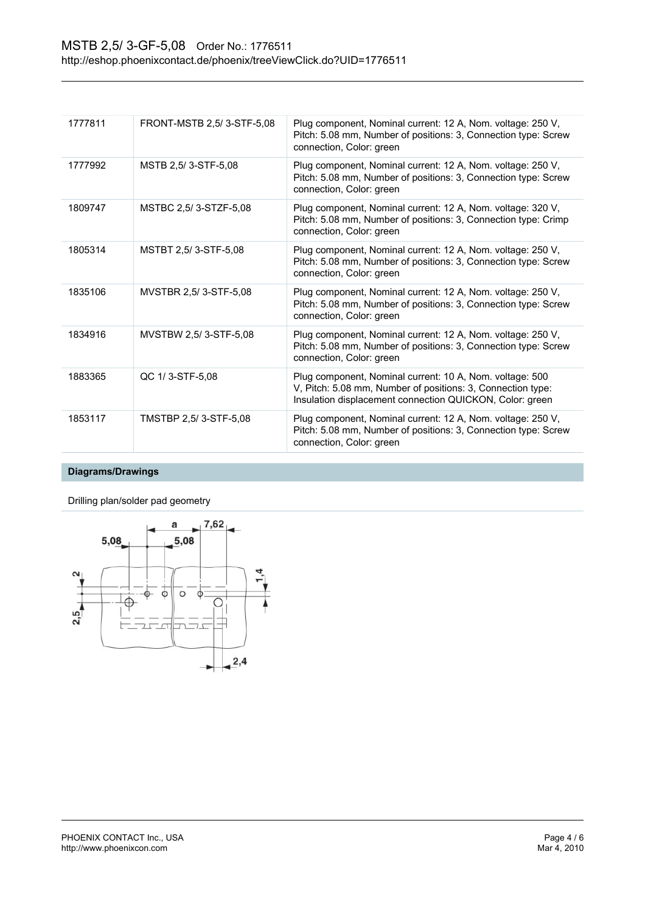| 1777811 | FRONT-MSTB 2,5/3-STF-5,08 | Plug component, Nominal current: 12 A, Nom. voltage: 250 V,<br>Pitch: 5.08 mm, Number of positions: 3, Connection type: Screw<br>connection, Color: green                           |
|---------|---------------------------|-------------------------------------------------------------------------------------------------------------------------------------------------------------------------------------|
| 1777992 | MSTB 2,5/3-STF-5,08       | Plug component, Nominal current: 12 A, Nom. voltage: 250 V,<br>Pitch: 5.08 mm, Number of positions: 3, Connection type: Screw<br>connection, Color: green                           |
| 1809747 | MSTBC 2,5/3-STZF-5,08     | Plug component, Nominal current: 12 A, Nom. voltage: 320 V,<br>Pitch: 5.08 mm, Number of positions: 3, Connection type: Crimp<br>connection, Color: green                           |
| 1805314 | MSTBT 2.5/3-STF-5.08      | Plug component, Nominal current: 12 A, Nom. voltage: 250 V,<br>Pitch: 5.08 mm, Number of positions: 3, Connection type: Screw<br>connection, Color: green                           |
| 1835106 | MVSTBR 2,5/3-STF-5,08     | Plug component, Nominal current: 12 A, Nom. voltage: 250 V,<br>Pitch: 5.08 mm, Number of positions: 3, Connection type: Screw<br>connection, Color: green                           |
| 1834916 | MVSTBW 2,5/3-STF-5,08     | Plug component, Nominal current: 12 A, Nom. voltage: 250 V,<br>Pitch: 5.08 mm, Number of positions: 3, Connection type: Screw<br>connection, Color: green                           |
| 1883365 | QC 1/3-STF-5.08           | Plug component, Nominal current: 10 A, Nom. voltage: 500<br>V, Pitch: 5.08 mm, Number of positions: 3, Connection type:<br>Insulation displacement connection QUICKON, Color: green |
| 1853117 | TMSTBP 2,5/3-STF-5,08     | Plug component, Nominal current: 12 A, Nom. voltage: 250 V,<br>Pitch: 5.08 mm, Number of positions: 3, Connection type: Screw<br>connection, Color: green                           |
|         |                           |                                                                                                                                                                                     |

# **Diagrams/Drawings**

Drilling plan/solder pad geometry

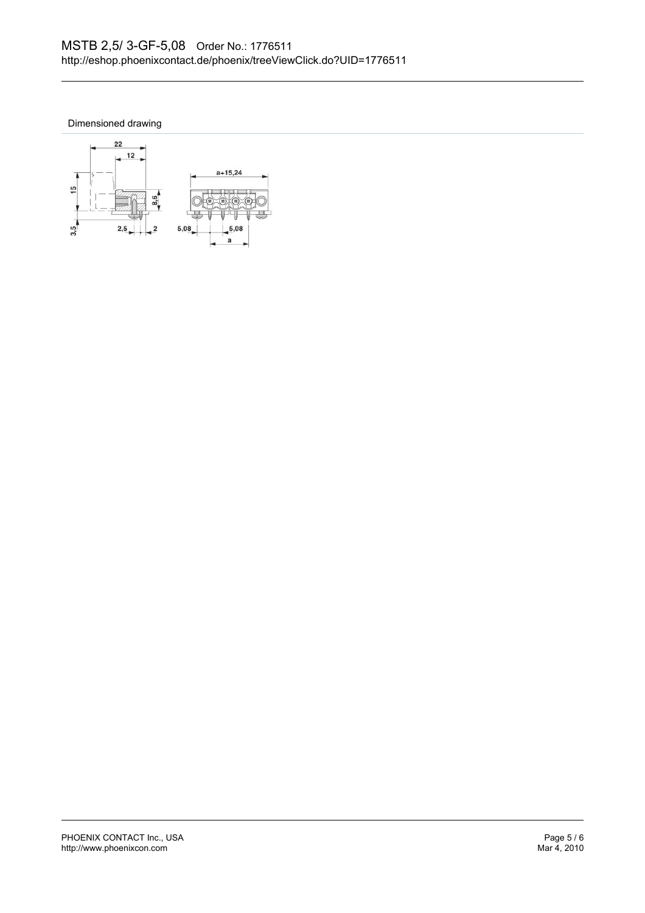Dimensioned drawing